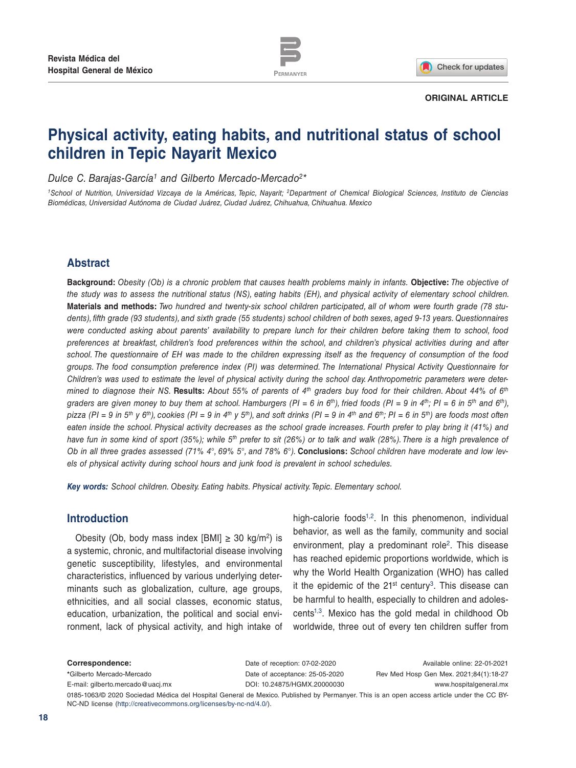

Check for updates

#### **ORIGINAL ARTICLE**

# **Physical activity, eating habits, and nutritional status of school children in Tepic Nayarit Mexico**

*Dulce C. Barajas-García1 and Gilberto Mercado-Mercado2\**

*1School of Nutrition, Universidad Vizcaya de la Américas, Tepic, Nayarit; 2Department of Chemical Biological Sciences, Instituto de Ciencias Biomédicas, Universidad Autónoma de Ciudad Juárez, Ciudad Juárez, Chihuahua, Chihuahua. Mexico*

# **Abstract**

**Background:** *Obesity (Ob) is a chronic problem that causes health problems mainly in infants.* **Objective:** *The objective of the study was to assess the nutritional status (NS), eating habits (EH), and physical activity of elementary school children.*  **Materials and methods:** *Two hundred and twenty-six school children participated, all of whom were fourth grade (78 students), fifth grade (93 students), and sixth grade (55 students) school children of both sexes, aged 9-13 years. Questionnaires were conducted asking about parents' availability to prepare lunch for their children before taking them to school, food preferences at breakfast, children's food preferences within the school, and children's physical activities during and after school. The questionnaire of EH was made to the children expressing itself as the frequency of consumption of the food groups. The food consumption preference index (PI) was determined. The International Physical Activity Questionnaire for Children's was used to estimate the level of physical activity during the school day. Anthropometric parameters were determined to diagnose their NS.* **Results:** *About 55% of parents of 4th graders buy food for their children. About 44% of 6th* graders are given money to buy them at school. Hamburgers (PI = 6 in 6<sup>th</sup>), fried foods (PI = 9 in 4<sup>th</sup>; PI = 6 in 5<sup>th</sup> and 6<sup>th</sup>), *pizza* (PI = 9 in 5<sup>th</sup> y 6<sup>th</sup>), cookies (PI = 9 in 4<sup>th</sup> y 5<sup>th</sup>), and soft drinks (PI = 9 in 4<sup>th</sup> and 6<sup>th</sup>; PI = 6 in 5<sup>th</sup>) are foods most often *eaten inside the school. Physical activity decreases as the school grade increases. Fourth prefer to play bring it (41%) and have fun in some kind of sport (35%); while 5th prefer to sit (26%) or to talk and walk (28%). There is a high prevalence of Ob in all three grades assessed (71% 4°, 69% 5°, and 78% 6°).* **Conclusions:** *School children have moderate and low levels of physical activity during school hours and junk food is prevalent in school schedules.*

*Key words: School children. Obesity. Eating habits. Physical activity. Tepic. Elementary school.*

# **Introduction**

Obesity (Ob, body mass index [BMI]  $\geq$  30 kg/m<sup>2</sup>) is a systemic, chronic, and multifactorial disease involving genetic susceptibility, lifestyles, and environmental characteristics, influenced by various underlying determinants such as globalization, culture, age groups, ethnicities, and all social classes, economic status, education, urbanization, the political and social environment, lack of physical activity, and high intake of

high-calorie foods<sup>1,2</sup>. In this phenomenon, individual behavior, as well as the family, community and social environment, play a predominant role<sup>2</sup>. This disease has reached epidemic proportions worldwide, which is why the World Health Organization (WHO) has called it the epidemic of the  $21<sup>st</sup>$  century<sup>3</sup>. This disease can be harmful to health, especially to children and adolescents1,3. Mexico has the gold medal in childhood Ob worldwide, three out of every ten children suffer from

**Correspondence: \***Gilberto Mercado-Mercado E-mail: gilberto.mercado@uacj.mx Available online: 22-01-2021 Rev Med Hosp Gen Mex. 2021;84(1):18-27 www.hospitalgeneral.mx Date of reception: 07-02-2020 Date of acceptance: 25-05-2020 DOI: 10.24875/HGMX.20000030

0185-1063/© 2020 Sociedad Médica del Hospital General de Mexico. Published by Permanyer. This is an open access article under the CC BY-NC-ND license (http://creativecommons.org/licenses/by-nc-nd/4.0/).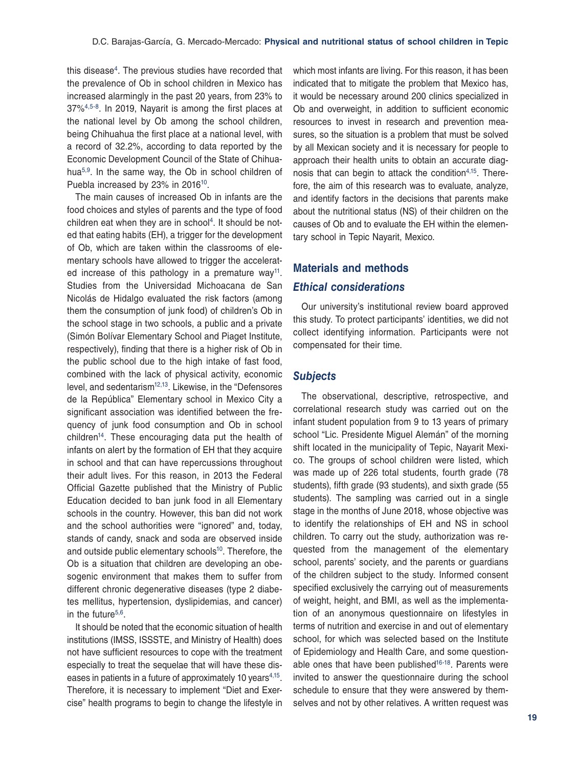this disease<sup>4</sup>. The previous studies have recorded that the prevalence of Ob in school children in Mexico has increased alarmingly in the past 20 years, from 23% to 37%4,5-8. In 2019, Nayarit is among the first places at the national level by Ob among the school children, being Chihuahua the first place at a national level, with a record of 32.2%, according to data reported by the Economic Development Council of the State of Chihuahua5,9. In the same way, the Ob in school children of Puebla increased by 23% in 2016<sup>10</sup>.

The main causes of increased Ob in infants are the food choices and styles of parents and the type of food children eat when they are in school<sup>4</sup>. It should be noted that eating habits (EH), a trigger for the development of Ob, which are taken within the classrooms of elementary schools have allowed to trigger the accelerated increase of this pathology in a premature way<sup>11</sup>. Studies from the Universidad Michoacana de San Nicolás de Hidalgo evaluated the risk factors (among them the consumption of junk food) of children's Ob in the school stage in two schools, a public and a private (Simón Bolívar Elementary School and Piaget Institute, respectively), finding that there is a higher risk of Ob in the public school due to the high intake of fast food, combined with the lack of physical activity, economic level, and sedentarism<sup>12,13</sup>. Likewise, in the "Defensores" de la República" Elementary school in Mexico City a significant association was identified between the frequency of junk food consumption and Ob in school children14. These encouraging data put the health of infants on alert by the formation of EH that they acquire in school and that can have repercussions throughout their adult lives. For this reason, in 2013 the Federal Official Gazette published that the Ministry of Public Education decided to ban junk food in all Elementary schools in the country. However, this ban did not work and the school authorities were "ignored" and, today, stands of candy, snack and soda are observed inside and outside public elementary schools<sup>10</sup>. Therefore, the Ob is a situation that children are developing an obesogenic environment that makes them to suffer from different chronic degenerative diseases (type 2 diabetes mellitus, hypertension, dyslipidemias, and cancer) in the future<sup>5,6</sup>.

It should be noted that the economic situation of health institutions (IMSS, ISSSTE, and Ministry of Health) does not have sufficient resources to cope with the treatment especially to treat the sequelae that will have these diseases in patients in a future of approximately 10 years<sup>4,15</sup>. Therefore, it is necessary to implement "Diet and Exercise" health programs to begin to change the lifestyle in

which most infants are living. For this reason, it has been indicated that to mitigate the problem that Mexico has, it would be necessary around 200 clinics specialized in Ob and overweight, in addition to sufficient economic resources to invest in research and prevention measures, so the situation is a problem that must be solved by all Mexican society and it is necessary for people to approach their health units to obtain an accurate diagnosis that can begin to attack the condition4,15. Therefore, the aim of this research was to evaluate, analyze, and identify factors in the decisions that parents make about the nutritional status (NS) of their children on the causes of Ob and to evaluate the EH within the elementary school in Tepic Nayarit, Mexico.

# **Materials and methods**

#### *Ethical considerations*

Our university's institutional review board approved this study. To protect participants' identities, we did not collect identifying information. Participants were not compensated for their time.

#### *Subjects*

The observational, descriptive, retrospective, and correlational research study was carried out on the infant student population from 9 to 13 years of primary school "Lic. Presidente Miguel Alemán" of the morning shift located in the municipality of Tepic, Nayarit Mexico. The groups of school children were listed, which was made up of 226 total students, fourth grade (78 students), fifth grade (93 students), and sixth grade (55 students). The sampling was carried out in a single stage in the months of June 2018, whose objective was to identify the relationships of EH and NS in school children. To carry out the study, authorization was requested from the management of the elementary school, parents' society, and the parents or guardians of the children subject to the study. Informed consent specified exclusively the carrying out of measurements of weight, height, and BMI, as well as the implementation of an anonymous questionnaire on lifestyles in terms of nutrition and exercise in and out of elementary school, for which was selected based on the Institute of Epidemiology and Health Care, and some questionable ones that have been published<sup>16-18</sup>. Parents were invited to answer the questionnaire during the school schedule to ensure that they were answered by themselves and not by other relatives. A written request was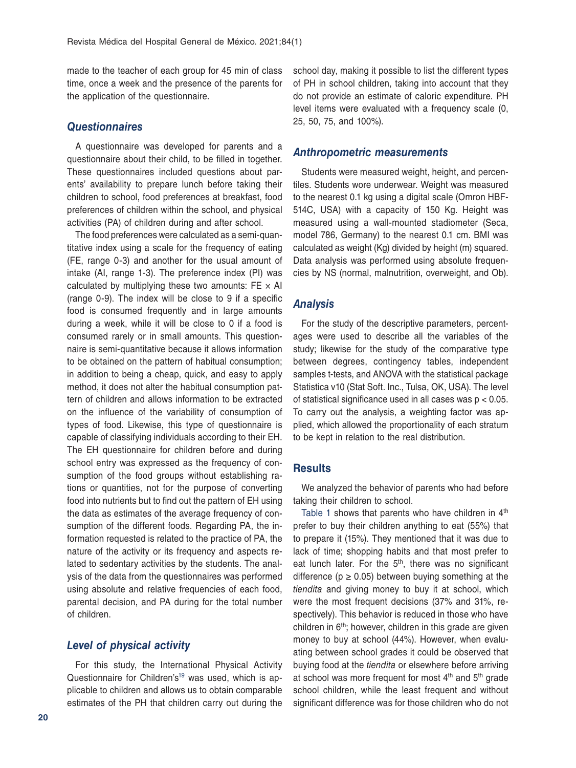made to the teacher of each group for 45 min of class time, once a week and the presence of the parents for the application of the questionnaire.

#### *Questionnaires*

A questionnaire was developed for parents and a questionnaire about their child, to be filled in together. These questionnaires included questions about parents' availability to prepare lunch before taking their children to school, food preferences at breakfast, food preferences of children within the school, and physical activities (PA) of children during and after school.

The food preferences were calculated as a semi-quantitative index using a scale for the frequency of eating (FE, range 0-3) and another for the usual amount of intake (AI, range 1-3). The preference index (PI) was calculated by multiplying these two amounts:  $FE \times AI$ (range 0-9). The index will be close to 9 if a specific food is consumed frequently and in large amounts during a week, while it will be close to 0 if a food is consumed rarely or in small amounts. This questionnaire is semi-quantitative because it allows information to be obtained on the pattern of habitual consumption; in addition to being a cheap, quick, and easy to apply method, it does not alter the habitual consumption pattern of children and allows information to be extracted on the influence of the variability of consumption of types of food. Likewise, this type of questionnaire is capable of classifying individuals according to their EH. The EH questionnaire for children before and during school entry was expressed as the frequency of consumption of the food groups without establishing rations or quantities, not for the purpose of converting food into nutrients but to find out the pattern of EH using the data as estimates of the average frequency of consumption of the different foods. Regarding PA, the information requested is related to the practice of PA, the nature of the activity or its frequency and aspects related to sedentary activities by the students. The analysis of the data from the questionnaires was performed using absolute and relative frequencies of each food, parental decision, and PA during for the total number of children.

### *Level of physical activity*

For this study, the International Physical Activity Questionnaire for Children's<sup>19</sup> was used, which is applicable to children and allows us to obtain comparable estimates of the PH that children carry out during the school day, making it possible to list the different types of PH in school children, taking into account that they do not provide an estimate of caloric expenditure. PH level items were evaluated with a frequency scale (0, 25, 50, 75, and 100%).

#### *Anthropometric measurements*

Students were measured weight, height, and percentiles. Students wore underwear. Weight was measured to the nearest 0.1 kg using a digital scale (Omron HBF-514C, USA) with a capacity of 150 Kg. Height was measured using a wall-mounted stadiometer (Seca, model 786, Germany) to the nearest 0.1 cm. BMI was calculated as weight (Kg) divided by height (m) squared. Data analysis was performed using absolute frequencies by NS (normal, malnutrition, overweight, and Ob).

#### *Analysis*

For the study of the descriptive parameters, percentages were used to describe all the variables of the study; likewise for the study of the comparative type between degrees, contingency tables, independent samples t-tests, and ANOVA with the statistical package Statistica v10 (Stat Soft. Inc., Tulsa, OK, USA). The level of statistical significance used in all cases was p < 0.05. To carry out the analysis, a weighting factor was applied, which allowed the proportionality of each stratum to be kept in relation to the real distribution.

#### **Results**

We analyzed the behavior of parents who had before taking their children to school.

Table 1 shows that parents who have children in 4<sup>th</sup> prefer to buy their children anything to eat (55%) that to prepare it (15%). They mentioned that it was due to lack of time; shopping habits and that most prefer to eat lunch later. For the 5<sup>th</sup>, there was no significant difference ( $p \ge 0.05$ ) between buying something at the *tiendita* and giving money to buy it at school, which were the most frequent decisions (37% and 31%, respectively). This behavior is reduced in those who have children in  $6<sup>th</sup>$ ; however, children in this grade are given money to buy at school (44%). However, when evaluating between school grades it could be observed that buying food at the *tiendita* or elsewhere before arriving at school was more frequent for most  $4<sup>th</sup>$  and  $5<sup>th</sup>$  grade school children, while the least frequent and without significant difference was for those children who do not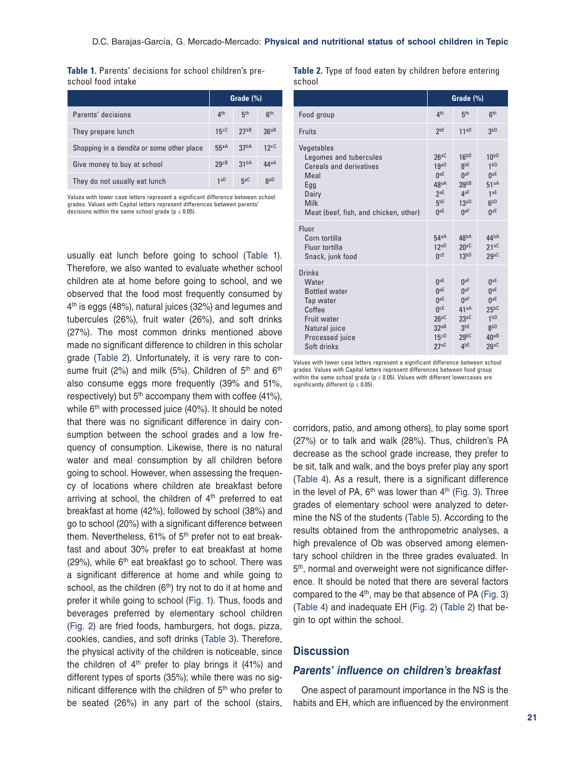**Table 1.** Parents' decisions for school children's preschool food intake

|                                                   | Grade (%)       |                  |                 |
|---------------------------------------------------|-----------------|------------------|-----------------|
| Parents' decisions                                | 4 <sup>th</sup> | 5 <sup>th</sup>  | 6 <sup>th</sup> |
| They prepare lunch                                | 15cC            | 27 <sub>bB</sub> | 36aB            |
| Shopping in a <i>tiendita</i> or some other place | 55aA            | 37 <sup>bA</sup> | 12cC            |
| Give money to buy at school                       | 29cB            | 31 <sup>bA</sup> | 44aA            |
| They do not usually eat lunch                     | 1aD             | 5aC              | <b>RaD</b>      |

Values with lower case letters represent a significant difference between school grades. Values with Capital letters represent differences between parents' decisions within the same school grade ( $p \le 0.05$ ).

usually eat lunch before going to school (Table 1). Therefore, we also wanted to evaluate whether school children ate at home before going to school, and we observed that the food most frequently consumed by 4<sup>th</sup> is eggs (48%), natural juices (32%) and legumes and tubercules (26%), fruit water (26%), and soft drinks (27%). The most common drinks mentioned above made no significant difference to children in this scholar grade (Table 2). Unfortunately, it is very rare to consume fruit (2%) and milk (5%). Children of  $5<sup>th</sup>$  and  $6<sup>th</sup>$ also consume eggs more frequently (39% and 51%, respectively) but  $5<sup>th</sup>$  accompany them with coffee (41%), while 6<sup>th</sup> with processed juice (40%). It should be noted that there was no significant difference in dairy consumption between the school grades and a low frequency of consumption. Likewise, there is no natural water and meal consumption by all children before going to school. However, when assessing the frequency of locations where children ate breakfast before arriving at school, the children of  $4<sup>th</sup>$  preferred to eat breakfast at home (42%), followed by school (38%) and go to school (20%) with a significant difference between them. Nevertheless, 61% of 5<sup>th</sup> prefer not to eat breakfast and about 30% prefer to eat breakfast at home (29%), while  $6<sup>th</sup>$  eat breakfast go to school. There was a significant difference at home and while going to school, as the children  $(6<sup>th</sup>)$  try not to do it at home and prefer it while going to school (Fig. 1). Thus, foods and beverages preferred by elementary school children (Fig. 2) are fried foods, hamburgers, hot dogs, pizza, cookies, candies, and soft drinks (Table 3). Therefore, the physical activity of the children is noticeable, since the children of 4th prefer to play brings it (41%) and different types of sports (35%); while there was no significant difference with the children of  $5<sup>th</sup>$  who prefer to be seated (26%) in any part of the school (stairs,

**Table 2.** Type of food eaten by children before entering school

|                                                                                                                                                 | Grade (%)                                                                                    |                                                                                                                                  |                                                                                                                  |
|-------------------------------------------------------------------------------------------------------------------------------------------------|----------------------------------------------------------------------------------------------|----------------------------------------------------------------------------------------------------------------------------------|------------------------------------------------------------------------------------------------------------------|
| Food group                                                                                                                                      | 4 <sup>th</sup>                                                                              | 5 <sup>th</sup>                                                                                                                  | 6 <sup>th</sup>                                                                                                  |
| Fruits                                                                                                                                          | 2 <sub>bE</sub>                                                                              | 11 <sup>aD</sup>                                                                                                                 | 3 <sub>pp</sub>                                                                                                  |
| Vegetables<br>Legumes and tubercules<br><b>Cereals and derivatives</b><br>Meal<br>Egg<br>Dairy<br>Milk<br>Meat (beef, fish, and chicken, other) | 26aC<br>19aD<br>0 <sup>aE</sup><br>48aA<br>2aE<br>5 <sup>bE</sup><br>0 <sup>aE</sup>         | 16 <sup>bD</sup><br>gbE<br>0aF<br>39 <sub>PB</sub><br>4aF<br>13aD<br>0 <sup>aF</sup>                                             | 10 <sub>PD</sub><br>1 <sub>bp</sub><br>0 <sup>aE</sup><br>51aA<br>1aE<br>6 <sup>bD</sup><br>0 <sup>aE</sup>      |
| Fluor<br>Corn tortilla<br>Fluor tortilla<br>Snack, junk food                                                                                    | 54aA<br>12aD<br>0 <sub>CF</sub>                                                              | 48 <sup>bA</sup><br>20 <sup>ac</sup><br>13 <sub>bp</sub>                                                                         | 44 <sup>bA</sup><br>21aC<br>29aC                                                                                 |
| Drinks<br>Water<br><b>Bottled water</b><br>Tap water<br>Coffee<br><b>Fruit water</b><br>Natural juice<br>Processed juice<br>Soft drinks         | 0 <sup>aE</sup><br>0 <sup>aE</sup><br>0 <sup>aE</sup><br>UcE<br>26aC<br>32aB<br>15cD<br>27aC | 0 <sup>aF</sup><br>0 <sup>aF</sup><br>0 <sup>aF</sup><br>41aA<br>23aC<br>3 <sub>pe</sub><br>29 <sub>b</sub> c<br>4 <sup>bE</sup> | $0^{\text{aE}}$<br>0 <sup>aE</sup><br>0 <sup>aE</sup><br>$25^{b}$<br>1 <sub>bp</sub><br>gbD<br>40aB<br>$26^{aC}$ |

Values with lower case letters represent a significant difference between school grades. Values with Capital letters represent differences between food group within the same school grade (p ≤ 0.05). Values with different lowercases are significantly different ( $p \leq 0.05$ ).

corridors, patio, and among others), to play some sport (27%) or to talk and walk (28%). Thus, children's PA decrease as the school grade increase, they prefer to be sit, talk and walk, and the boys prefer play any sport (Table 4). As a result, there is a significant difference in the level of PA,  $6<sup>th</sup>$  was lower than  $4<sup>th</sup>$  (Fig. 3). Three grades of elementary school were analyzed to determine the NS of the students (Table 5). According to the results obtained from the anthropometric analyses, a high prevalence of Ob was observed among elementary school children in the three grades evaluated. In 5<sup>th</sup>, normal and overweight were not significance difference. It should be noted that there are several factors compared to the 4<sup>th</sup>, may be that absence of PA (Fig. 3) (Table 4) and inadequate EH (Fig. 2) (Table 2) that begin to opt within the school.

#### **Discussion**

# *Parents' influence on children's breakfast*

One aspect of paramount importance in the NS is the habits and EH, which are influenced by the environment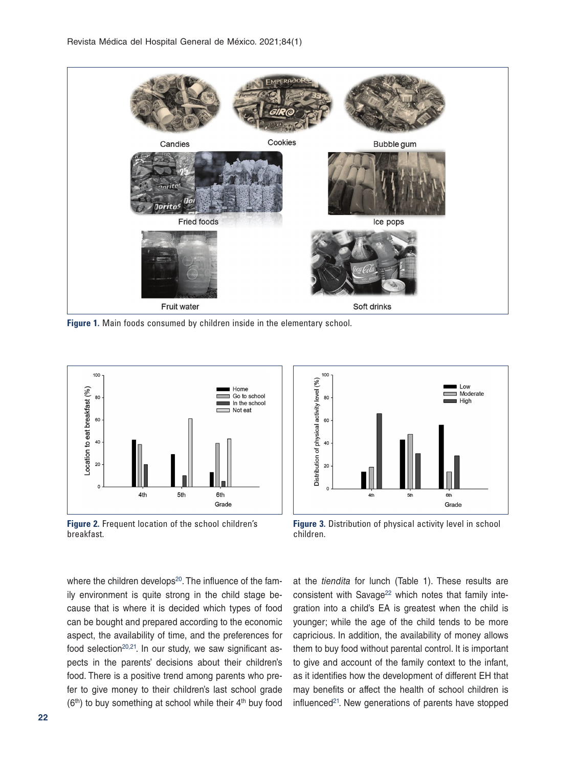

**Figure 1.** Main foods consumed by children inside in the elementary school.



**Figure 2.** Frequent location of the school children's breakfast.

100 level (%) Low Moderate 80 High physical activity 60  $40$ Distribution of  $20$  $4<sup>th</sup>$ 6th Grade

**Figure 3.** Distribution of physical activity level in school children.

where the children develops<sup>20</sup>. The influence of the family environment is quite strong in the child stage because that is where it is decided which types of food can be bought and prepared according to the economic aspect, the availability of time, and the preferences for food selection $20,21$ . In our study, we saw significant aspects in the parents' decisions about their children's food. There is a positive trend among parents who prefer to give money to their children's last school grade  $(6<sup>th</sup>)$  to buy something at school while their  $4<sup>th</sup>$  buy food

at the *tiendita* for lunch (Table 1). These results are consistent with Savage<sup>22</sup> which notes that family integration into a child's EA is greatest when the child is younger; while the age of the child tends to be more capricious. In addition, the availability of money allows them to buy food without parental control. It is important to give and account of the family context to the infant, as it identifies how the development of different EH that may benefits or affect the health of school children is influenced $21$ . New generations of parents have stopped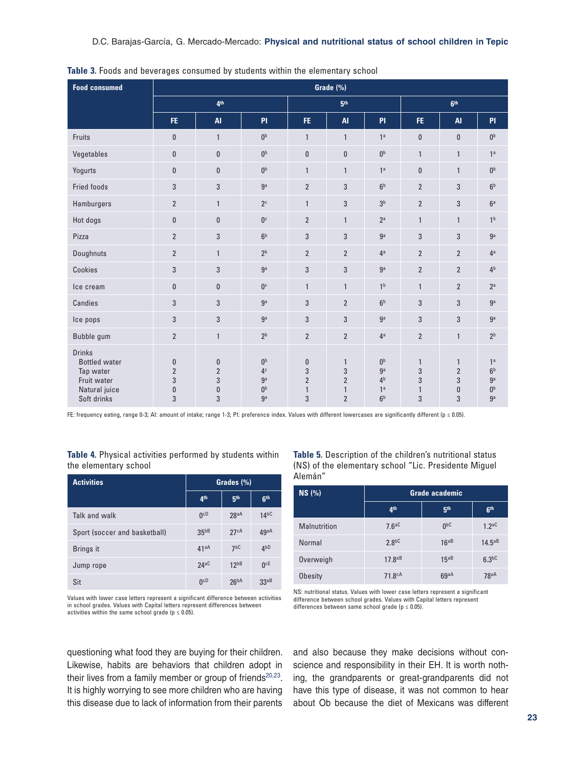| <b>Food consumed</b>                                                                              | Grade (%)                                          |                                                       |                                                                            |                                                      |                                                                       |                                                                                        |                                             |                                                          |                                                                         |
|---------------------------------------------------------------------------------------------------|----------------------------------------------------|-------------------------------------------------------|----------------------------------------------------------------------------|------------------------------------------------------|-----------------------------------------------------------------------|----------------------------------------------------------------------------------------|---------------------------------------------|----------------------------------------------------------|-------------------------------------------------------------------------|
|                                                                                                   |                                                    | 4 <sup>th</sup><br>6 <sup>th</sup><br>5 <sup>th</sup> |                                                                            |                                                      |                                                                       |                                                                                        |                                             |                                                          |                                                                         |
|                                                                                                   | FE.                                                | <b>AI</b>                                             | <b>PI</b>                                                                  | FE.                                                  | <b>AI</b>                                                             | <b>PI</b>                                                                              | FE.                                         | <b>AI</b>                                                | PI                                                                      |
| Fruits                                                                                            | $\pmb{0}$                                          | $\mathbf{1}$                                          | 0 <sub>p</sub>                                                             | $\mathbf{1}$                                         | $\mathbf{1}$                                                          | 1 <sup>a</sup>                                                                         | $\mathbf{0}$                                | $\pmb{0}$                                                | 0 <sup>b</sup>                                                          |
| Vegetables                                                                                        | $\bf{0}$                                           | $\mathbf{0}$                                          | 0 <sub>p</sub>                                                             | $\mathbf{0}$                                         | $\mathbf{0}$                                                          | $\mathbf{0}^\mathrm{b}$                                                                | $\mathbf{1}$                                | $\mathbf{1}$                                             | 1 <sup>a</sup>                                                          |
| Yogurts                                                                                           | $\bf{0}$                                           | $\mathbf{0}$                                          | 0 <sub>p</sub>                                                             | $\mathbf{1}$                                         | $\mathbf{1}$                                                          | 1 <sup>a</sup>                                                                         | $\bf{0}$                                    | $\mathbf{1}$                                             | 0 <sup>b</sup>                                                          |
| <b>Fried foods</b>                                                                                | 3                                                  | 3                                                     | ga                                                                         | $\overline{2}$                                       | 3                                                                     | 6 <sup>b</sup>                                                                         | $\overline{2}$                              | 3                                                        | 6 <sup>b</sup>                                                          |
| Hamburgers                                                                                        | $\overline{2}$                                     | $\mathbf{1}$                                          | 2 <sup>c</sup>                                                             | $\mathbf{1}$                                         | 3                                                                     | 3 <sup>b</sup>                                                                         | $\overline{2}$                              | 3                                                        | 6 <sup>a</sup>                                                          |
| Hot dogs                                                                                          | $\bf{0}$                                           | $\mathbf{0}$                                          | 0 <sup>c</sup>                                                             | $\overline{2}$                                       | $\mathbf{1}$                                                          | 2 <sup>a</sup>                                                                         | $\mathbf{1}$                                | $\mathbf{1}$                                             | 1 <sup>b</sup>                                                          |
| Pizza                                                                                             | $\overline{2}$                                     | 3                                                     | 6 <sup>b</sup>                                                             | 3                                                    | 3                                                                     | g <sub>a</sub>                                                                         | 3                                           | 3                                                        | ga                                                                      |
| Doughnuts                                                                                         | $\overline{2}$                                     | $\mathbf{1}$                                          | 2 <sup>b</sup>                                                             | $\overline{2}$                                       | $\overline{2}$                                                        | 4 <sup>a</sup>                                                                         | $\overline{2}$                              | $\overline{2}$                                           | 4 <sup>a</sup>                                                          |
| Cookies                                                                                           | 3                                                  | 3                                                     | ga                                                                         | 3                                                    | $\sqrt{3}$                                                            | ga                                                                                     | $\overline{2}$                              | $\overline{2}$                                           | 4 <sup>b</sup>                                                          |
| Ice cream                                                                                         | $\pmb{0}$                                          | $\mathbf{0}$                                          | 0 <sup>c</sup>                                                             | $\mathbf{1}$                                         | $\mathbf{1}$                                                          | 1 <sup>b</sup>                                                                         | $\mathbf{1}$                                | $\overline{2}$                                           | 2 <sup>a</sup>                                                          |
| Candies                                                                                           | 3                                                  | 3                                                     | g <sub>a</sub>                                                             | 3                                                    | $\overline{2}$                                                        | 6 <sup>b</sup>                                                                         | 3                                           | 3                                                        | ga                                                                      |
| Ice pops                                                                                          | 3                                                  | 3                                                     | ga                                                                         | 3                                                    | 3                                                                     | ga                                                                                     | 3                                           | 3                                                        | ga                                                                      |
| Bubble gum                                                                                        | $\overline{2}$                                     | $\mathbf{1}$                                          | 2 <sup>b</sup>                                                             | $\overline{2}$                                       | $\overline{2}$                                                        | 4 <sup>a</sup>                                                                         | $\overline{2}$                              | $\mathbf{1}$                                             | 2 <sup>b</sup>                                                          |
| <b>Drinks</b><br><b>Bottled</b> water<br>Tap water<br>Fruit water<br>Natural juice<br>Soft drinks | $\pmb{0}$<br>$\overline{2}$<br>3<br>$\pmb{0}$<br>3 | $\pmb{0}$<br>$\overline{2}$<br>3<br>$\pmb{0}$<br>3    | 0 <sub>p</sub><br>4 <sup>c</sup><br>g <sub>a</sub><br>0 <sup>b</sup><br>ga | $\bf{0}$<br>3<br>$\overline{2}$<br>$\mathbf{1}$<br>3 | $\mathbf{1}$<br>3<br>$\overline{2}$<br>$\mathbf{1}$<br>$\overline{2}$ | 0 <sub>p</sub><br>g <sub>a</sub><br>4 <sup>b</sup><br>1 <sup>a</sup><br>6 <sup>b</sup> | $\mathbf{1}$<br>3<br>3<br>$\mathbf{1}$<br>3 | $\mathbf{1}$<br>$\overline{2}$<br>3<br>$\mathbf{0}$<br>3 | 1 <sup>a</sup><br>6 <sup>b</sup><br>ga<br>$0^{\rm b}$<br>g <sub>a</sub> |

**Table 3.** Foods and beverages consumed by students within the elementary school

FE: frequency eating, range 0-3; AI: amount of intake; range 1-3; PI: preference index. Values with different lowercases are significantly different (p ≤ 0.05).

**Table 4.** Physical activities performed by students within the elementary school

| <b>Activities</b>             | Grades (%)       |                   |                 |
|-------------------------------|------------------|-------------------|-----------------|
|                               | 4 <sup>th</sup>  | 5 <sup>th</sup>   | 6 <sup>th</sup> |
| Talk and walk                 | 0 <sub>CD</sub>  | 28aA              | 14 <sup>b</sup> |
| Sport (soccer and basketball) | 35 <sub>bB</sub> | 27cA              | 49aA            |
| Brings it                     | 41aA             | 7 <sub>b</sub> C  | 4 <sub>pD</sub> |
| Jump rope                     | 24aC             | 12 <sub>bbB</sub> | 0 <sub>cf</sub> |
| Sit                           | 0 <sub>cp</sub>  | 26 <sup>bA</sup>  | 33aB            |

Values with lower case letters represent a significant difference between activities in school grades. Values with Capital letters represent differences between

activities within the same school grade ( $p \leq 0.05$ ).

questioning what food they are buying for their children. Likewise, habits are behaviors that children adopt in their lives from a family member or group of friends $20,23$ . It is highly worrying to see more children who are having this disease due to lack of information from their parents

**Table 5.** Description of the children's nutritional status (NS) of the elementary school "Lic. Presidente Miguel Alemán"

| NS(%)          | <b>Grade academic</b> |                 |                   |  |
|----------------|-----------------------|-----------------|-------------------|--|
|                | 4 <sup>th</sup>       | 5th             | 6 <sup>th</sup>   |  |
| Malnutrition   | 7.6aC                 | 0 <sub>pc</sub> | 1.2 <sup>ac</sup> |  |
| Normal         | 2.8 <sup>bC</sup>     | $16^{a}B$       | 14.5aB            |  |
| Overweigh      | $17.8^{aB}$           | $15^{a}B$       | 6.3 <sup>bC</sup> |  |
| <b>Obesity</b> | 71.8 <sup>cA</sup>    | 69aA            | 78aA              |  |

NS: nutritional status. Values with lower case letters represent a significant difference between school grades. Values with Capital letters represent differences between same school grade ( $p \le 0.05$ ).

and also because they make decisions without conscience and responsibility in their EH. It is worth nothing, the grandparents or great-grandparents did not have this type of disease, it was not common to hear about Ob because the diet of Mexicans was different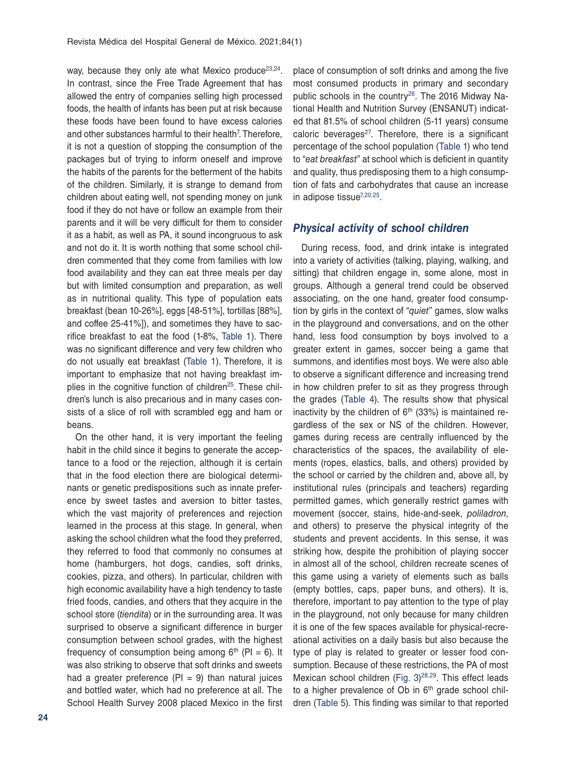way, because they only ate what Mexico produce<sup>23,24</sup>. In contrast, since the Free Trade Agreement that has allowed the entry of companies selling high processed foods, the health of infants has been put at risk because these foods have been found to have excess calories and other substances harmful to their health<sup>7</sup>. Therefore, it is not a question of stopping the consumption of the packages but of trying to inform oneself and improve the habits of the parents for the betterment of the habits of the children. Similarly, it is strange to demand from children about eating well, not spending money on junk food if they do not have or follow an example from their parents and it will be very difficult for them to consider it as a habit, as well as PA, it sound incongruous to ask and not do it. It is worth nothing that some school children commented that they come from families with low food availability and they can eat three meals per day but with limited consumption and preparation, as well as in nutritional quality. This type of population eats breakfast (bean 10-26%], eggs [48-51%], tortillas [88%], and coffee 25-41%]), and sometimes they have to sacrifice breakfast to eat the food (1-8%, Table 1). There was no significant difference and very few children who do not usually eat breakfast (Table 1). Therefore, it is important to emphasize that not having breakfast implies in the cognitive function of children<sup>25</sup>. These children's lunch is also precarious and in many cases consists of a slice of roll with scrambled egg and ham or beans.

On the other hand, it is very important the feeling habit in the child since it begins to generate the acceptance to a food or the rejection, although it is certain that in the food election there are biological determinants or genetic predispositions such as innate preference by sweet tastes and aversion to bitter tastes, which the vast majority of preferences and rejection learned in the process at this stage. In general, when asking the school children what the food they preferred, they referred to food that commonly no consumes at home (hamburgers, hot dogs, candies, soft drinks, cookies, pizza, and others). In particular, children with high economic availability have a high tendency to taste fried foods, candies, and others that they acquire in the school store (*tiendita*) or in the surrounding area. It was surprised to observe a significant difference in burger consumption between school grades, with the highest frequency of consumption being among  $6<sup>th</sup>$  (PI = 6). It was also striking to observe that soft drinks and sweets had a greater preference ( $PI = 9$ ) than natural juices and bottled water, which had no preference at all. The School Health Survey 2008 placed Mexico in the first

place of consumption of soft drinks and among the five most consumed products in primary and secondary public schools in the country<sup>26</sup>. The 2016 Midway National Health and Nutrition Survey (ENSANUT) indicated that 81.5% of school children (5-11 years) consume caloric beverages $27$ . Therefore, there is a significant percentage of the school population (Table 1) who tend to "*eat breakfast*" at school which is deficient in quantity and quality, thus predisposing them to a high consumption of fats and carbohydrates that cause an increase in adipose tissue $7,20,25$ .

#### *Physical activity of school children*

During recess, food, and drink intake is integrated into a variety of activities (talking, playing, walking, and sitting) that children engage in, some alone, most in groups. Although a general trend could be observed associating, on the one hand, greater food consumption by girls in the context of "*quiet*" games, slow walks in the playground and conversations, and on the other hand, less food consumption by boys involved to a greater extent in games, soccer being a game that summons, and identifies most boys. We were also able to observe a significant difference and increasing trend in how children prefer to sit as they progress through the grades (Table 4). The results show that physical inactivity by the children of  $6<sup>th</sup>$  (33%) is maintained regardless of the sex or NS of the children. However, games during recess are centrally influenced by the characteristics of the spaces, the availability of elements (ropes, elastics, balls, and others) provided by the school or carried by the children and, above all, by institutional rules (principals and teachers) regarding permitted games, which generally restrict games with movement (soccer, stains, hide-and-seek, *poliladron*, and others) to preserve the physical integrity of the students and prevent accidents. In this sense, it was striking how, despite the prohibition of playing soccer in almost all of the school, children recreate scenes of this game using a variety of elements such as balls (empty bottles, caps, paper buns, and others). It is, therefore, important to pay attention to the type of play in the playground, not only because for many children it is one of the few spaces available for physical-recreational activities on a daily basis but also because the type of play is related to greater or lesser food consumption. Because of these restrictions, the PA of most Mexican school children (Fig.  $3)^{28,29}$ . This effect leads to a higher prevalence of  $Ob$  in  $6<sup>th</sup>$  grade school children (Table 5). This finding was similar to that reported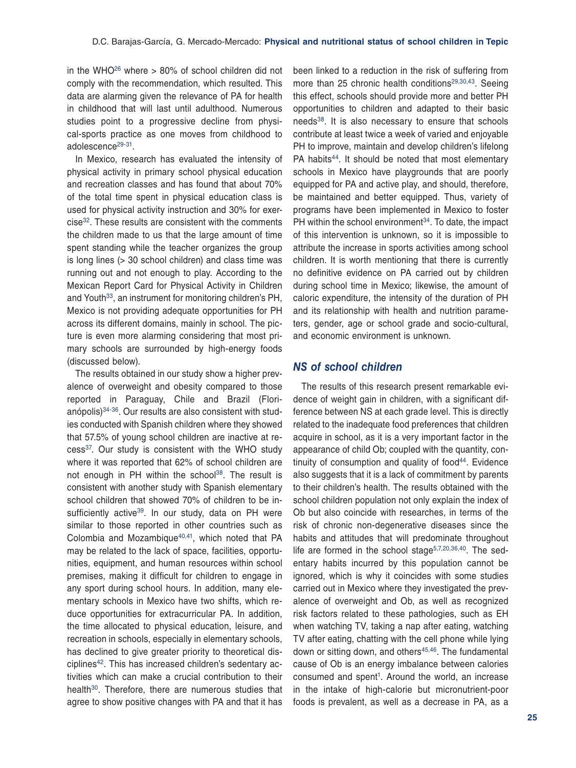in the WHO<sup>26</sup> where  $> 80\%$  of school children did not comply with the recommendation, which resulted. This data are alarming given the relevance of PA for health in childhood that will last until adulthood. Numerous studies point to a progressive decline from physical-sports practice as one moves from childhood to adolescence<sup>29-31</sup>.

In Mexico, research has evaluated the intensity of physical activity in primary school physical education and recreation classes and has found that about 70% of the total time spent in physical education class is used for physical activity instruction and 30% for exer $cise<sup>32</sup>$ . These results are consistent with the comments the children made to us that the large amount of time spent standing while the teacher organizes the group is long lines (> 30 school children) and class time was running out and not enough to play. According to the Mexican Report Card for Physical Activity in Children and Youth<sup>33</sup>, an instrument for monitoring children's PH, Mexico is not providing adequate opportunities for PH across its different domains, mainly in school. The picture is even more alarming considering that most primary schools are surrounded by high-energy foods (discussed below).

The results obtained in our study show a higher prevalence of overweight and obesity compared to those reported in Paraguay, Chile and Brazil (Florianópolis)34-36. Our results are also consistent with studies conducted with Spanish children where they showed that 57.5% of young school children are inactive at recess37. Our study is consistent with the WHO study where it was reported that 62% of school children are not enough in PH within the school<sup>38</sup>. The result is consistent with another study with Spanish elementary school children that showed 70% of children to be insufficiently active<sup>39</sup>. In our study, data on PH were similar to those reported in other countries such as Colombia and Mozambique<sup>40,41</sup>, which noted that PA may be related to the lack of space, facilities, opportunities, equipment, and human resources within school premises, making it difficult for children to engage in any sport during school hours. In addition, many elementary schools in Mexico have two shifts, which reduce opportunities for extracurricular PA. In addition, the time allocated to physical education, leisure, and recreation in schools, especially in elementary schools, has declined to give greater priority to theoretical disciplines<sup>42</sup>. This has increased children's sedentary activities which can make a crucial contribution to their health<sup>30</sup>. Therefore, there are numerous studies that agree to show positive changes with PA and that it has

been linked to a reduction in the risk of suffering from more than 25 chronic health conditions<sup>29,30,43</sup>. Seeing this effect, schools should provide more and better PH opportunities to children and adapted to their basic needs<sup>38</sup>. It is also necessary to ensure that schools contribute at least twice a week of varied and enjoyable PH to improve, maintain and develop children's lifelong PA habits<sup>44</sup>. It should be noted that most elementary schools in Mexico have playgrounds that are poorly equipped for PA and active play, and should, therefore, be maintained and better equipped. Thus, variety of programs have been implemented in Mexico to foster PH within the school environment $34$ . To date, the impact of this intervention is unknown, so it is impossible to attribute the increase in sports activities among school children. It is worth mentioning that there is currently no definitive evidence on PA carried out by children during school time in Mexico; likewise, the amount of caloric expenditure, the intensity of the duration of PH and its relationship with health and nutrition parameters, gender, age or school grade and socio-cultural, and economic environment is unknown.

### *NS of school children*

The results of this research present remarkable evidence of weight gain in children, with a significant difference between NS at each grade level. This is directly related to the inadequate food preferences that children acquire in school, as it is a very important factor in the appearance of child Ob; coupled with the quantity, continuity of consumption and quality of food $44$ . Evidence also suggests that it is a lack of commitment by parents to their children's health. The results obtained with the school children population not only explain the index of Ob but also coincide with researches, in terms of the risk of chronic non-degenerative diseases since the habits and attitudes that will predominate throughout life are formed in the school stage $5,7,20,36,40$ . The sedentary habits incurred by this population cannot be ignored, which is why it coincides with some studies carried out in Mexico where they investigated the prevalence of overweight and Ob, as well as recognized risk factors related to these pathologies, such as EH when watching TV, taking a nap after eating, watching TV after eating, chatting with the cell phone while lying down or sitting down, and others $45,46$ . The fundamental cause of Ob is an energy imbalance between calories consumed and spent<sup>1</sup>. Around the world, an increase in the intake of high-calorie but micronutrient-poor foods is prevalent, as well as a decrease in PA, as a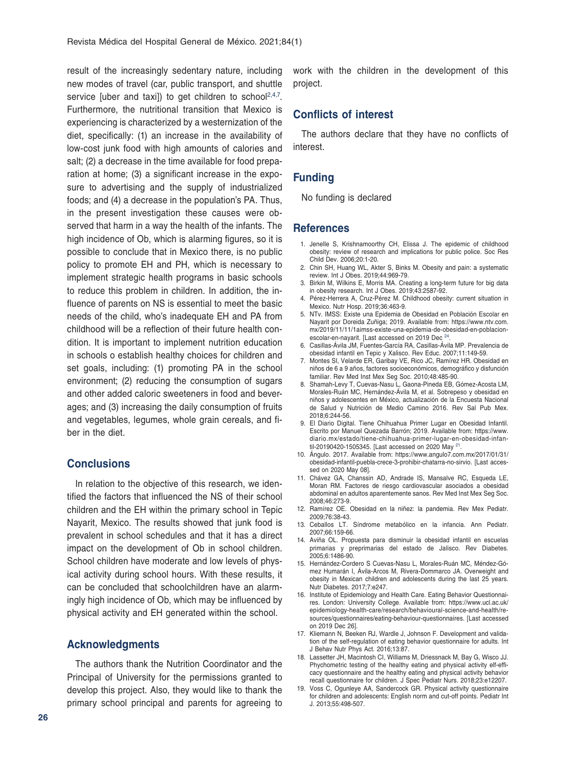result of the increasingly sedentary nature, including new modes of travel (car, public transport, and shuttle service [uber and taxi]) to get children to school<sup>2,4,7</sup>. Furthermore, the nutritional transition that Mexico is experiencing is characterized by a westernization of the diet, specifically: (1) an increase in the availability of low-cost junk food with high amounts of calories and salt; (2) a decrease in the time available for food preparation at home; (3) a significant increase in the exposure to advertising and the supply of industrialized foods; and (4) a decrease in the population's PA. Thus, in the present investigation these causes were observed that harm in a way the health of the infants. The high incidence of Ob, which is alarming figures, so it is possible to conclude that in Mexico there, is no public policy to promote EH and PH, which is necessary to implement strategic health programs in basic schools to reduce this problem in children. In addition, the influence of parents on NS is essential to meet the basic needs of the child, who's inadequate EH and PA from childhood will be a reflection of their future health condition. It is important to implement nutrition education in schools o establish healthy choices for children and set goals, including: (1) promoting PA in the school environment; (2) reducing the consumption of sugars and other added caloric sweeteners in food and beverages; and (3) increasing the daily consumption of fruits and vegetables, legumes, whole grain cereals, and fiber in the diet.

#### **Conclusions**

In relation to the objective of this research, we identified the factors that influenced the NS of their school children and the EH within the primary school in Tepic Nayarit, Mexico. The results showed that junk food is prevalent in school schedules and that it has a direct impact on the development of Ob in school children. School children have moderate and low levels of physical activity during school hours. With these results, it can be concluded that schoolchildren have an alarmingly high incidence of Ob, which may be influenced by physical activity and EH generated within the school.

### **Acknowledgments**

The authors thank the Nutrition Coordinator and the Principal of University for the permissions granted to develop this project. Also, they would like to thank the primary school principal and parents for agreeing to work with the children in the development of this project.

### **Conflicts of interest**

The authors declare that they have no conflicts of interest.

#### **Funding**

No funding is declared

#### **References**

- 1. Jenelle S, Krishnamoorthy CH, Elissa J. The epidemic of childhood obesity: review of research and implications for public police. Soc Res Child Dev. 2006;20:1-20.
- 2. Chin SH, Huang WL, Akter S, Binks M. Obesity and pain: a systematic review. Int J Obes. 2019;44:969-79.
- 3. Birkin M, Wilkins E, Morris MA. Creating a long-term future for big data in obesity research. Int J Obes. 2019;43:2587-92.
- 4. Pérez-Herrera A, Cruz-Pérez M. Childhood obesity: current situation in Mexico. Nutr Hosp. 2019;36:463-9.
- 5. NTv. IMSS: Existe una Epidemia de Obesidad en Población Escolar en Nayarit por Doreida Zuñiga; 2019. Available from: https://www.ntv.com. mx/2019/11/11/1aimss-existe-una-epidemia-de-obesidad-en-poblacionescolar-en-nayarit. [Last accessed on 2019 Dec 24.
- 6. Casillas-Ávila JM, Fuentes-García RA, Casillas-Ávila MP. Prevalencia de obesidad infantil en Tepic y Xalisco. Rev Educ. 2007;11:149-59.
- 7. Montes SI, Velarde ER, Garibay VE, Rico JC, Ramírez HR. Obesidad en niños de 6 a 9 años, factores socioeconómicos, demográfico y disfunción familiar. Rev Med Inst Mex Seg Soc. 2010;48:485-90.
- 8. Shamah-Levy T, Cuevas-Nasu L, Gaona-Pineda EB, Gómez-Acosta LM, Morales-Ruán MC, Hernández-Ávila M, et al. Sobrepeso y obesidad en niños y adolescentes en México, actualización de la Encuesta Nacional de Salud y Nutrición de Medio Camino 2016. Rev Sal Pub Mex. 2018;6:244-56.
- 9. El Diario Digital. Tiene Chihuahua Primer Lugar en Obesidad Infantil. Escrito por Manuel Quezada Barrón; 2019. Available from: https://www. diario.mx/estado/tiene-chihuahua-primer-lugar-en-obesidad-infantil-20190420-1505345. [Last accessed on 2020 May <sup>21</sup>
- 10. Ángulo. 2017. Available from: https://www.angulo7.com.mx/2017/01/31/ obesidad-infantil-puebla-crece-3-prohibir-chatarra-no-sirvio. [Last accessed on 2020 May 08].
- 11. Chávez GA, Chanssin AD, Andrade IS, Mansalve RC, Esqueda LE, Moran RM. Factores de riesgo cardiovascular asociados a obesidad abdominal en adultos aparentemente sanos. Rev Med Inst Mex Seg Soc. 2008;46:273-9.
- 12. Ramírez OE. Obesidad en la niñez: la pandemia. Rev Mex Pediatr. 2009;76:38-43.
- 13. Ceballos LT. Síndrome metabólico en la infancia. Ann Pediatr. 2007;66:159-66.
- 14. Aviña OL. Propuesta para disminuir la obesidad infantil en escuelas primarias y preprimarias del estado de Jalisco. Rev Diabetes. 2005;6:1486-90.
- 15. Hernández-Cordero S Cuevas-Nasu L, Morales-Ruán MC, Méndez-Gómez Humarán I, Ávila-Arcos M, Rivera-Dommarco JA. Overweight and obesity in Mexican children and adolescents during the last 25 years. Nutr Diabetes. 2017;7:e247.
- 16. Institute of Epidemiology and Health Care. Eating Behavior Questionnaires. London: University College. Available from: https://www.ucl.ac.uk/ epidemiology-health-care/research/behavioural-science-and-health/resources/questionnaires/eating-behaviour-questionnaires. [Last accessed on 2019 Dec 26].
- 17. Kliemann N, Beeken RJ, Wardle J, Johnson F. Development and validation of the self-regulation of eating behavior questionnaire for adults. Int J Behav Nutr Phys Act. 2016;13:87.
- 18. Lassetter JH, Macintosh CI, Williams M, Driessnack M, Bay G, Wisco JJ. Phychometric testing of the healthy eating and physical activity elf-efficacy questionnaire and the healthy eating and physical activity behavior recall questionnaire for children. J Spec Pediatr Nurs. 2018;23:e12207.
- 19. Voss C, Ogunleye AA, Sandercock GR. Physical activity questionnaire for children and adolescents: English norm and cut-off points. Pediatr Int J. 2013;55:498-507.